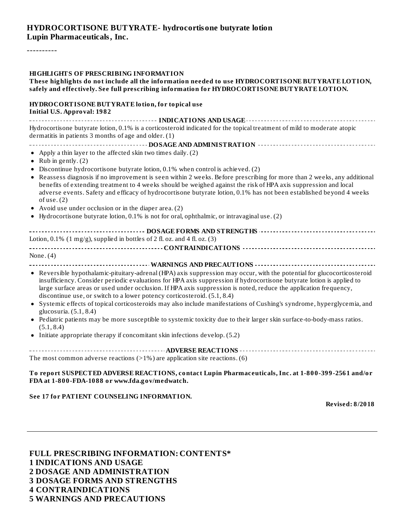#### **HYDROCORTISONE BUTYRATE- hydrocortisone butyrate lotion Lupin Pharmaceuticals, Inc.**

----------

#### **HIGHLIGHTS OF PRESCRIBING INFORMATION**

| <u>FILGELL GELLE OF PRESCRIBING INFORMATION</u><br>These highlights do not include all the information needed to use HYDROCORTISONE BUTYRATE LOTION,<br>safely and effectively. See full prescribing information for HYDROCORTISONE BUTYRATE LOTION.                                                                                                                                                                                              |
|---------------------------------------------------------------------------------------------------------------------------------------------------------------------------------------------------------------------------------------------------------------------------------------------------------------------------------------------------------------------------------------------------------------------------------------------------|
| HYDROCORTISONE BUTYRATE lotion, for topical use<br><b>Initial U.S. Approval: 1982</b>                                                                                                                                                                                                                                                                                                                                                             |
| Hydrocortisone butyrate lotion, 0.1% is a corticosteroid indicated for the topical treatment of mild to moderate atopic<br>dermatitis in patients 3 months of age and older. (1)                                                                                                                                                                                                                                                                  |
|                                                                                                                                                                                                                                                                                                                                                                                                                                                   |
| • Apply a thin layer to the affected skin two times daily. (2)<br>• Rub in gently. $(2)$                                                                                                                                                                                                                                                                                                                                                          |
| • Discontinue hydrocortisone butyrate lotion, 0.1% when control is achieved. (2)                                                                                                                                                                                                                                                                                                                                                                  |
| • Reassess diagnosis if no improvement is seen within 2 weeks. Before prescribing for more than 2 weeks, any additional<br>benefits of extending treatment to 4 weeks should be weighed against the risk of HPA axis suppression and local<br>adverse events. Safety and efficacy of hydrocortisone butyrate lotion, 0.1% has not been established beyond 4 weeks<br>of use. $(2)$                                                                |
| • Avoid use under occlusion or in the diaper area. (2)                                                                                                                                                                                                                                                                                                                                                                                            |
| • Hydrocortisone butyrate lotion, 0.1% is not for oral, ophthalmic, or intravaginal use. (2)                                                                                                                                                                                                                                                                                                                                                      |
|                                                                                                                                                                                                                                                                                                                                                                                                                                                   |
| Lotion, 0.1% $(1 \text{ mg/g})$ , supplied in bottles of 2 fl. oz. and 4 fl. oz. $(3)$                                                                                                                                                                                                                                                                                                                                                            |
|                                                                                                                                                                                                                                                                                                                                                                                                                                                   |
| None. $(4)$                                                                                                                                                                                                                                                                                                                                                                                                                                       |
|                                                                                                                                                                                                                                                                                                                                                                                                                                                   |
| • Reversible hypothalamic-pituitary-adrenal (HPA) axis suppression may occur, with the potential for glucocorticosteroid<br>insufficiency. Consider periodic evaluations for HPA axis suppression if hydrocortisone butyrate lotion is applied to<br>large surface areas or used under occlusion. If HPA axis suppression is noted, reduce the application frequency,<br>discontinue use, or switch to a lower potency corticosteroid. (5.1, 8.4) |
| • Systemic effects of topical corticosteroids may also include manifestations of Cushing's syndrome, hyperglycemia, and<br>glucosuria. (5.1, 8.4)                                                                                                                                                                                                                                                                                                 |
| • Pediatric patients may be more susceptible to systemic toxicity due to their larger skin surface-to-body-mass ratios.<br>(5.1, 8.4)                                                                                                                                                                                                                                                                                                             |
| • Initiate appropriate therapy if concomitant skin infections develop. (5.2)                                                                                                                                                                                                                                                                                                                                                                      |

**ADVERSE REACTIONS** The most common adverse reactions  $(>1%)$  are application site reactions. (6)

**To report SUSPECTED ADVERSE REACTIONS, contact Lupin Pharmaceuticals, Inc. at 1-800-399-2561 and/or FDA at 1-800-FDA-1088 or www.fda.gov/medwatch.**

#### **See 17 for PATIENT COUNSELING INFORMATION.**

**Revised: 8/2018**

**FULL PRESCRIBING INFORMATION: CONTENTS\* INDICATIONS AND USAGE DOSAGE AND ADMINISTRATION DOSAGE FORMS AND STRENGTHS CONTRAINDICATIONS WARNINGS AND PRECAUTIONS**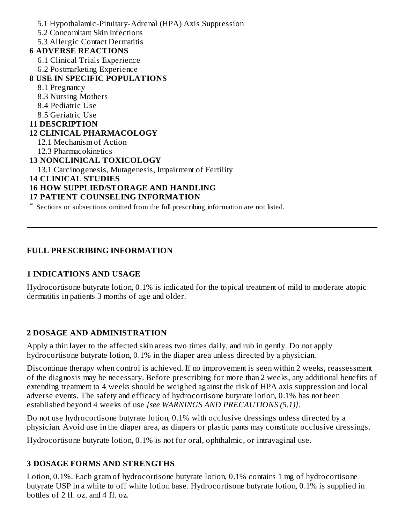5.1 Hypothalamic-Pituitary-Adrenal (HPA) Axis Suppression 5.2 Concomitant Skin Infections 5.3 Allergic Contact Dermatitis **6 ADVERSE REACTIONS** 6.1 Clinical Trials Experience 6.2 Postmarketing Experience **8 USE IN SPECIFIC POPULATIONS** 8.1 Pregnancy 8.3 Nursing Mothers 8.4 Pediatric Use 8.5 Geriatric Use **11 DESCRIPTION 12 CLINICAL PHARMACOLOGY** 12.1 Mechanism of Action 12.3 Pharmacokinetics **13 NONCLINICAL TOXICOLOGY** 13.1 Carcinogenesis, Mutagenesis, Impairment of Fertility **14 CLINICAL STUDIES 16 HOW SUPPLIED/STORAGE AND HANDLING 17 PATIENT COUNSELING INFORMATION** \* Sections or subsections omitted from the full prescribing information are not listed.

### **FULL PRESCRIBING INFORMATION**

### **1 INDICATIONS AND USAGE**

Hydrocortisone butyrate lotion, 0.1% is indicated for the topical treatment of mild to moderate atopic dermatitis in patients 3 months of age and older.

### **2 DOSAGE AND ADMINISTRATION**

Apply a thin layer to the affected skin areas two times daily, and rub in gently. Do not apply hydrocortisone butyrate lotion, 0.1% in the diaper area unless directed by a physician.

Discontinue therapy when control is achieved. If no improvement is seen within 2 weeks, reassessment of the diagnosis may be necessary. Before prescribing for more than 2 weeks, any additional benefits of extending treatment to 4 weeks should be weighed against the risk of HPA axis suppression and local adverse events. The safety and efficacy of hydrocortisone butyrate lotion, 0.1% has not been established beyond 4 weeks of use *[see WARNINGS AND PRECAUTIONS (5.1)]*.

Do not use hydrocortisone butyrate lotion, 0.1% with occlusive dressings unless directed by a physician. Avoid use in the diaper area, as diapers or plastic pants may constitute occlusive dressings.

Hydrocortisone butyrate lotion, 0.1% is not for oral, ophthalmic, or intravaginal use.

### **3 DOSAGE FORMS AND STRENGTHS**

Lotion, 0.1%. Each gram of hydrocortisone butyrate lotion, 0.1% contains 1 mg of hydrocortisone butyrate USP in a white to off white lotion base. Hydrocortisone butyrate lotion, 0.1% is supplied in bottles of 2 fl. oz. and 4 fl. oz.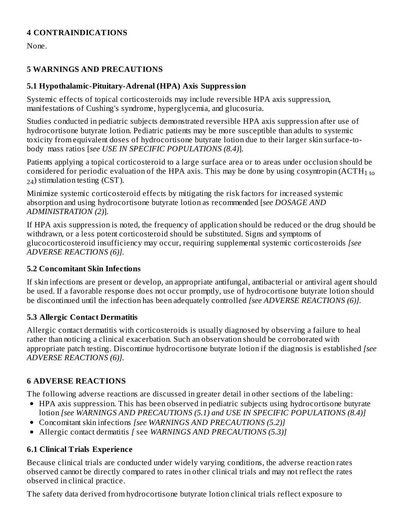### **4 CONTRAINDICATIONS**

None.

### **5 WARNINGS AND PRECAUTIONS**

### **5.1 Hypothalamic-Pituitary-Adrenal (HPA) Axis Suppression**

Systemic effects of topical corticosteroids may include reversible HPA axis suppression, manifestations of Cushing's syndrome, hyperglycemia, and glucosuria.

Studies conducted in pediatric subjects demonstrated reversible HPA axis suppression after use of hydrocortisone butyrate lotion. Pediatric patients may be more susceptible than adults to systemic toxicity from equivalent doses of hydrocortisone butyrate lotion due to their larger skin surface-tobody mass ratios [*see USE IN SPECIFIC POPULATIONS (8.4)*].

Patients applying a topical corticosteroid to a large surface area or to areas under occlusion should be considered for periodic evaluation of the HPA axis. This may be done by using cosyntropin (ACTH $_{\rm 1\,to}$  $_{24}$ ) stimulation testing (CST).

Minimize systemic corticosteroid effects by mitigating the risk factors for increased systemic absorption and using hydrocortisone butyrate lotion as recommended [*see DOSAGE AND ADMINISTRATION (2)*].

If HPA axis suppression is noted, the frequency of application should be reduced or the drug should be withdrawn, or a less potent corticosteroid should be substituted. Signs and symptoms of glucocorticosteroid insufficiency may occur, requiring supplemental systemic corticosteroids *[see ADVERSE REACTIONS (6)].*

## **5.2 Concomitant Skin Infections**

If skin infections are present or develop, an appropriate antifungal, antibacterial or antiviral agent should be used. If a favorable response does not occur promptly, use of hydrocortisone butyrate lotion should be discontinued until the infection has been adequately controlled *[see ADVERSE REACTIONS (6)].*

## **5.3 Allergic Contact Dermatitis**

Allergic contact dermatitis with corticosteroids is usually diagnosed by observing a failure to heal rather than noticing a clinical exacerbation. Such an observation should be corroborated with appropriate patch testing. Discontinue hydrocortisone butyrate lotion if the diagnosis is established *[see ADVERSE REACTIONS (6)].*

## **6 ADVERSE REACTIONS**

The following adverse reactions are discussed in greater detail in other sections of the labeling:

- HPA axis suppression. This has been observed in pediatric subjects using hydrocortisone butyrate
- lotion *[see WARNINGS AND PRECAUTIONS (5.1) and USE IN SPECIFIC POPULATIONS (8.4)]*
- Concomitant skin infections *[see WARNINGS AND PRECAUTIONS (5.2)]*
- Allergic contact dermatitis *[* see *WARNINGS AND PRECAUTIONS (5.3)]*

## **6.1 Clinical Trials Experience**

Because clinical trials are conducted under widely varying conditions, the adverse reaction rates observed cannot be directly compared to rates in other clinical trials and may not reflect the rates observed in clinical practice.

The safety data derived from hydrocortisone butyrate lotion clinical trials reflect exposure to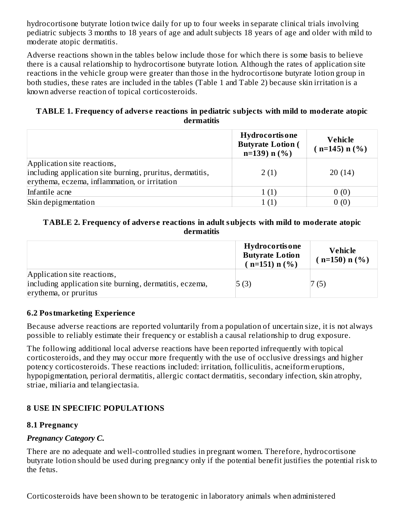hydrocortisone butyrate lotion twice daily for up to four weeks in separate clinical trials involving pediatric subjects 3 months to 18 years of age and adult subjects 18 years of age and older with mild to moderate atopic dermatitis.

Adverse reactions shown in the tables below include those for which there is some basis to believe there is a causal relationship to hydrocortisone butyrate lotion. Although the rates of application site reactions in the vehicle group were greater than those in the hydrocortisone butyrate lotion group in both studies, these rates are included in the tables (Table 1 and Table 2) because skin irritation is a known adverse reaction of topical corticosteroids.

### **TABLE 1. Frequency of advers e reactions in pediatric subjects with mild to moderate atopic dermatitis**

|                                                           | <b>Hydrocortisone</b><br><b>Butyrate Lotion (</b><br>$n=139$ n $(\% )$ | <b>Vehicle</b><br>$(n=145) n$ (%) |
|-----------------------------------------------------------|------------------------------------------------------------------------|-----------------------------------|
| Application site reactions,                               |                                                                        |                                   |
| including application site burning, pruritus, dermatitis, | 2(1)                                                                   | 20(14)                            |
| erythema, eczema, inflammation, or irritation             |                                                                        |                                   |
| Infantile acne                                            | 1(1)                                                                   | 0(0)                              |
| Skin depigmentation                                       | 1(1)                                                                   | 0(0)                              |

### **TABLE 2. Frequency of advers e reactions in adult subjects with mild to moderate atopic dermatitis**

|                                                         | <b>Hydrocortisone</b><br><b>Butyrate Lotion</b><br>$(n=151) n$ (%) | Vehicle<br>$(n=150) n$ (%) |
|---------------------------------------------------------|--------------------------------------------------------------------|----------------------------|
| Application site reactions,                             |                                                                    |                            |
| including application site burning, dermatitis, eczema, | 5(3)                                                               | 7(5)                       |
| erythema, or pruritus                                   |                                                                    |                            |

### **6.2 Postmarketing Experience**

Because adverse reactions are reported voluntarily from a population of uncertain size, it is not always possible to reliably estimate their frequency or establish a causal relationship to drug exposure.

The following additional local adverse reactions have been reported infrequently with topical corticosteroids, and they may occur more frequently with the use of occlusive dressings and higher potency corticosteroids. These reactions included: irritation, folliculitis, acneiform eruptions, hypopigmentation, perioral dermatitis, allergic contact dermatitis, secondary infection, skin atrophy, striae, miliaria and telangiectasia.

## **8 USE IN SPECIFIC POPULATIONS**

### **8.1 Pregnancy**

## *Pregnancy Category C.*

There are no adequate and well-controlled studies in pregnant women. Therefore, hydrocortisone butyrate lotion should be used during pregnancy only if the potential benefit justifies the potential risk to the fetus.

Corticosteroids have been shown to be teratogenic in laboratory animals when administered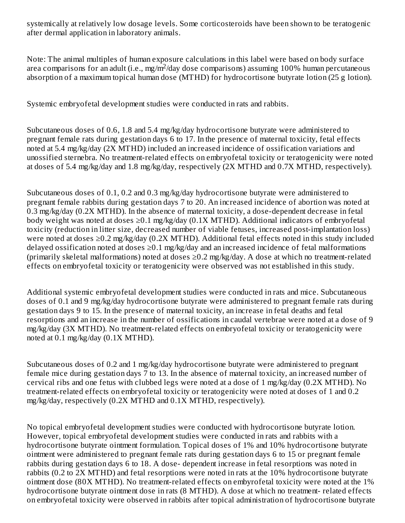systemically at relatively low dosage levels. Some corticosteroids have been shown to be teratogenic after dermal application in laboratory animals.

Note: The animal multiples of human exposure calculations in this label were based on body surface area comparisons for an adult (i.e., mg/m<sup>2</sup>/day dose comparisons) assuming 100% human percutaneous absorption of a maximum topical human dose (MTHD) for hydrocortisone butyrate lotion (25 g lotion).

Systemic embryofetal development studies were conducted in rats and rabbits.

Subcutaneous doses of 0.6, 1.8 and 5.4 mg/kg/day hydrocortisone butyrate were administered to pregnant female rats during gestation days 6 to 17. In the presence of maternal toxicity, fetal effects noted at 5.4 mg/kg/day (2X MTHD) included an increased incidence of ossification variations and unossified sternebra. No treatment-related effects on embryofetal toxicity or teratogenicity were noted at doses of 5.4 mg/kg/day and 1.8 mg/kg/day, respectively (2X MTHD and 0.7X MTHD, respectively).

Subcutaneous doses of 0.1, 0.2 and 0.3 mg/kg/day hydrocortisone butyrate were administered to pregnant female rabbits during gestation days 7 to 20. An increased incidence of abortion was noted at 0.3 mg/kg/day (0.2X MTHD). In the absence of maternal toxicity, a dose-dependent decrease in fetal body weight was noted at doses ≥0.1 mg/kg/day (0.1X MTHD). Additional indicators of embryofetal toxicity (reduction in litter size, decreased number of viable fetuses, increased post-implantation loss) were noted at doses ≥0.2 mg/kg/day (0.2X MTHD). Additional fetal effects noted in this study included delayed ossification noted at doses  $\geq$ 0.1 mg/kg/day and an increased incidence of fetal malformations (primarily skeletal malformations) noted at doses ≥0.2 mg/kg/day. A dose at which no treatment-related effects on embryofetal toxicity or teratogenicity were observed was not established in this study.

Additional systemic embryofetal development studies were conducted in rats and mice. Subcutaneous doses of 0.1 and 9 mg/kg/day hydrocortisone butyrate were administered to pregnant female rats during gestation days 9 to 15. In the presence of maternal toxicity, an increase in fetal deaths and fetal resorptions and an increase in the number of ossifications in caudal vertebrae were noted at a dose of 9 mg/kg/day (3X MTHD). No treatment-related effects on embryofetal toxicity or teratogenicity were noted at 0.1 mg/kg/day (0.1X MTHD).

Subcutaneous doses of 0.2 and 1 mg/kg/day hydrocortisone butyrate were administered to pregnant female mice during gestation days 7 to 13. In the absence of maternal toxicity, an increased number of cervical ribs and one fetus with clubbed legs were noted at a dose of 1 mg/kg/day (0.2X MTHD). No treatment-related effects on embryofetal toxicity or teratogenicity were noted at doses of 1 and 0.2 mg/kg/day, respectively (0.2X MTHD and 0.1X MTHD, respectively).

No topical embryofetal development studies were conducted with hydrocortisone butyrate lotion. However, topical embryofetal development studies were conducted in rats and rabbits with a hydrocortisone butyrate ointment formulation. Topical doses of 1% and 10% hydrocortisone butyrate ointment were administered to pregnant female rats during gestation days 6 to 15 or pregnant female rabbits during gestation days 6 to 18. A dose- dependent increase in fetal resorptions was noted in rabbits (0.2 to 2X MTHD) and fetal resorptions were noted in rats at the 10% hydrocortisone butyrate ointment dose (80X MTHD). No treatment-related effects on embyrofetal toxicity were noted at the 1% hydrocortisone butyrate ointment dose in rats (8 MTHD). A dose at which no treatment- related effects on embryofetal toxicity were observed in rabbits after topical administration of hydrocortisone butyrate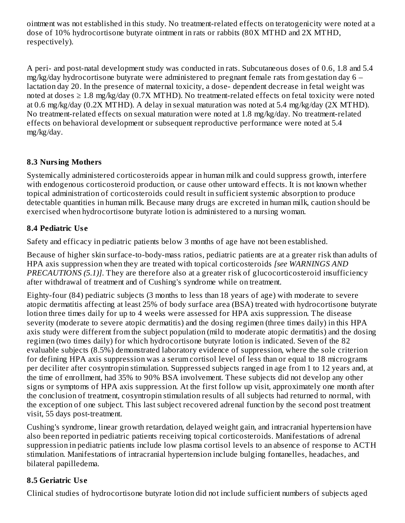ointment was not established in this study. No treatment-related effects on teratogenicity were noted at a dose of 10% hydrocortisone butyrate ointment in rats or rabbits (80X MTHD and 2X MTHD, respectively).

A peri- and post-natal development study was conducted in rats. Subcutaneous doses of 0.6, 1.8 and 5.4 mg/kg/day hydrocortisone butyrate were administered to pregnant female rats from gestation day 6 – lactation day 20. In the presence of maternal toxicity, a dose- dependent decrease in fetal weight was noted at doses  $\geq 1.8$  mg/kg/day (0.7X MTHD). No treatment-related effects on fetal toxicity were noted at 0.6 mg/kg/day (0.2X MTHD). A delay in sexual maturation was noted at 5.4 mg/kg/day (2X MTHD). No treatment-related effects on sexual maturation were noted at 1.8 mg/kg/day. No treatment-related effects on behavioral development or subsequent reproductive performance were noted at 5.4 mg/kg/day.

## **8.3 Nursing Mothers**

Systemically administered corticosteroids appear in human milk and could suppress growth, interfere with endogenous corticosteroid production, or cause other untoward effects. It is not known whether topical administration of corticosteroids could result in sufficient systemic absorption to produce detectable quantities in human milk. Because many drugs are excreted in human milk, caution should be exercised when hydrocortisone butyrate lotion is administered to a nursing woman.

## **8.4 Pediatric Us e**

Safety and efficacy in pediatric patients below 3 months of age have not been established.

Because of higher skin surface-to-body-mass ratios, pediatric patients are at a greater risk than adults of HPA axis suppression when they are treated with topical corticosteroids *[see WARNINGS AND PRECAUTIONS (5.1)]*. They are therefore also at a greater risk of glucocorticosteroid insufficiency after withdrawal of treatment and of Cushing's syndrome while on treatment.

Eighty-four (84) pediatric subjects (3 months to less than 18 years of age) with moderate to severe atopic dermatitis affecting at least 25% of body surface area (BSA) treated with hydrocortisone butyrate lotion three times daily for up to 4 weeks were assessed for HPA axis suppression. The disease severity (moderate to severe atopic dermatitis) and the dosing regimen (three times daily) in this HPA axis study were different from the subject population (mild to moderate atopic dermatitis) and the dosing regimen (two times daily) for which hydrocortisone butyrate lotion is indicated. Seven of the 82 evaluable subjects (8.5%) demonstrated laboratory evidence of suppression, where the sole criterion for defining HPA axis suppression was a serum cortisol level of less than or equal to 18 micrograms per deciliter after cosyntropin stimulation. Suppressed subjects ranged in age from 1 to 12 years and, at the time of enrollment, had 35% to 90% BSA involvement. These subjects did not develop any other signs or symptoms of HPA axis suppression. At the first follow up visit, approximately one month after the conclusion of treatment, cosyntropin stimulation results of all subjects had returned to normal, with the exception of one subject. This last subject recovered adrenal function by the second post treatment visit, 55 days post-treatment.

Cushing's syndrome, linear growth retardation, delayed weight gain, and intracranial hypertension have also been reported in pediatric patients receiving topical corticosteroids. Manifestations of adrenal suppression in pediatric patients include low plasma cortisol levels to an absence of response to ACTH stimulation. Manifestations of intracranial hypertension include bulging fontanelles, headaches, and bilateral papilledema.

## **8.5 Geriatric Us e**

Clinical studies of hydrocortisone butyrate lotion did not include sufficient numbers of subjects aged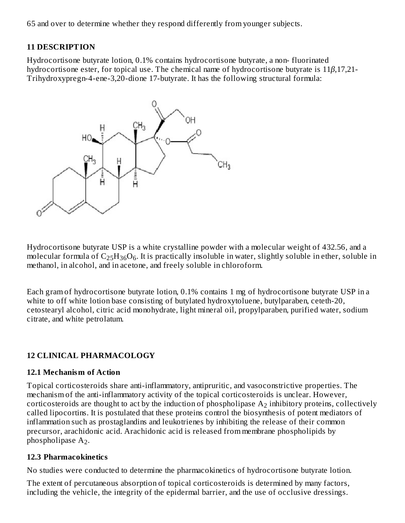65 and over to determine whether they respond differently from younger subjects.

### **11 DESCRIPTION**

Hydrocortisone butyrate lotion, 0.1% contains hydrocortisone butyrate, a non- fluorinated hydrocortisone ester, for topical use. The chemical name of hydrocortisone butyrate is 11*β*,17,21- Trihydroxypregn-4-ene-3,20-dione 17-butyrate. It has the following structural formula:



Hydrocortisone butyrate USP is a white crystalline powder with a molecular weight of 432.56, and a molecular formula of  $\rm{C_{25}H_{36}O_6}$ . It is practically insoluble in water, slightly soluble in ether, soluble in methanol, in alcohol, and in acetone, and freely soluble in chloroform.

Each gram of hydrocortisone butyrate lotion, 0.1% contains 1 mg of hydrocortisone butyrate USP in a white to off white lotion base consisting of butylated hydroxytoluene, butylparaben, ceteth-20, cetostearyl alcohol, citric acid monohydrate, light mineral oil, propylparaben, purified water, sodium citrate, and white petrolatum.

### **12 CLINICAL PHARMACOLOGY**

### **12.1 Mechanism of Action**

Topical corticosteroids share anti-inflammatory, antipruritic, and vasoconstrictive properties. The mechanism of the anti-inflammatory activity of the topical corticosteroids is unclear. However, corticosteroids are thought to act by the induction of phospholipase  $\rm A_{2}$  inhibitory proteins, collectively called lipocortins. It is postulated that these proteins control the biosynthesis of potent mediators of inflammation such as prostaglandins and leukotrienes by inhibiting the release of their common precursor, arachidonic acid. Arachidonic acid is released from membrane phospholipids by phospholipase  $A_2$ .

### **12.3 Pharmacokinetics**

No studies were conducted to determine the pharmacokinetics of hydrocortisone butyrate lotion.

The extent of percutaneous absorption of topical corticosteroids is determined by many factors, including the vehicle, the integrity of the epidermal barrier, and the use of occlusive dressings.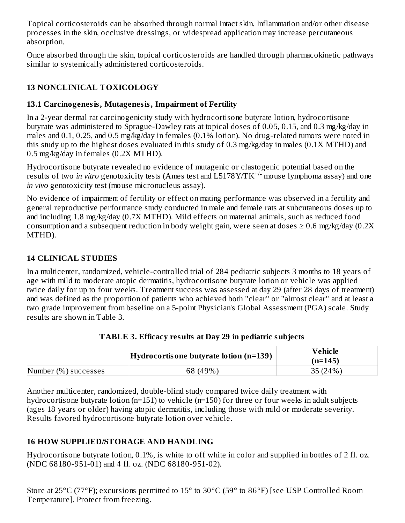Topical corticosteroids can be absorbed through normal intact skin. Inflammation and/or other disease processes in the skin, occlusive dressings, or widespread application may increase percutaneous absorption.

Once absorbed through the skin, topical corticosteroids are handled through pharmacokinetic pathways similar to systemically administered corticosteroids.

# **13 NONCLINICAL TOXICOLOGY**

## **13.1 Carcinogenesis, Mutagenesis, Impairment of Fertility**

In a 2-year dermal rat carcinogenicity study with hydrocortisone butyrate lotion, hydrocortisone butyrate was administered to Sprague-Dawley rats at topical doses of 0.05, 0.15, and 0.3 mg/kg/day in males and 0.1, 0.25, and 0.5 mg/kg/day in females (0.1% lotion). No drug-related tumors were noted in this study up to the highest doses evaluated in this study of 0.3 mg/kg/day in males (0.1X MTHD) and 0.5 mg/kg/day in females (0.2X MTHD).

Hydrocortisone butyrate revealed no evidence of mutagenic or clastogenic potential based on the results of two *in vitro* genotoxicity tests (Ames test and L5178Y/TK<sup>+/-</sup> mouse lymphoma assay) and one *in vivo* genotoxicity test (mouse micronucleus assay).

No evidence of impairment of fertility or effect on mating performance was observed in a fertility and general reproductive performance study conducted in male and female rats at subcutaneous doses up to and including 1.8 mg/kg/day (0.7X MTHD). Mild effects on maternal animals, such as reduced food consumption and a subsequent reduction in body weight gain, were seen at doses  $\geq 0.6$  mg/kg/day (0.2X) MTHD).

## **14 CLINICAL STUDIES**

In a multicenter, randomized, vehicle-controlled trial of 284 pediatric subjects 3 months to 18 years of age with mild to moderate atopic dermatitis, hydrocortisone butyrate lotion or vehicle was applied twice daily for up to four weeks. Treatment success was assessed at day 29 (after 28 days of treatment) and was defined as the proportion of patients who achieved both "clear" or "almost clear" and at least a two grade improvement from baseline on a 5-point Physician's Global Assessment (PGA) scale. Study results are shown in Table 3.

|                      | $Hydrocortis$ one butyrate lotion (n=139) | <b>Vehicle</b><br>$(n=145)$ |
|----------------------|-------------------------------------------|-----------------------------|
| Number (%) successes | 68 (49%)                                  | 35(24%)                     |

## **TABLE 3. Efficacy results at Day 29 in pediatric subjects**

Another multicenter, randomized, double-blind study compared twice daily treatment with hydrocortisone butyrate lotion (n=151) to vehicle (n=150) for three or four weeks in adult subjects (ages 18 years or older) having atopic dermatitis, including those with mild or moderate severity. Results favored hydrocortisone butyrate lotion over vehicle.

## **16 HOW SUPPLIED/STORAGE AND HANDLING**

Hydrocortisone butyrate lotion, 0.1%, is white to off white in color and supplied in bottles of 2 fl. oz. (NDC 68180-951-01) and 4 fl. oz. (NDC 68180-951-02).

Store at 25°C (77°F); excursions permitted to 15° to 30°C (59° to 86°F) [see USP Controlled Room Temperature]. Protect from freezing.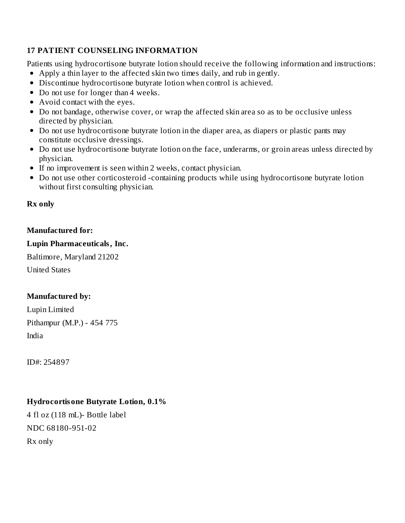## **17 PATIENT COUNSELING INFORMATION**

Patients using hydrocortisone butyrate lotion should receive the following information and instructions: Apply a thin layer to the affected skin two times daily, and rub in gently.

- Discontinue hydrocortisone butyrate lotion when control is achieved.
- Do not use for longer than 4 weeks.
- Avoid contact with the eyes.
- Do not bandage, otherwise cover, or wrap the affected skin area so as to be occlusive unless directed by physician.
- Do not use hydrocortisone butyrate lotion in the diaper area, as diapers or plastic pants may constitute occlusive dressings.
- Do not use hydrocortisone butyrate lotion on the face, underarms, or groin areas unless directed by physician.
- If no improvement is seen within 2 weeks, contact physician.
- Do not use other corticosteroid -containing products while using hydrocortisone butyrate lotion without first consulting physician.

### **Rx only**

### **Manufactured for:**

### **Lupin Pharmaceuticals, Inc.**

Baltimore, Maryland 21202 United States

## **Manufactured by:**

Lupin Limited Pithampur (M.P.) - 454 775 India

ID#: 254897

## **Hydrocortisone Butyrate Lotion, 0.1%**

4 fl oz (118 mL)- Bottle label NDC 68180-951-02 Rx only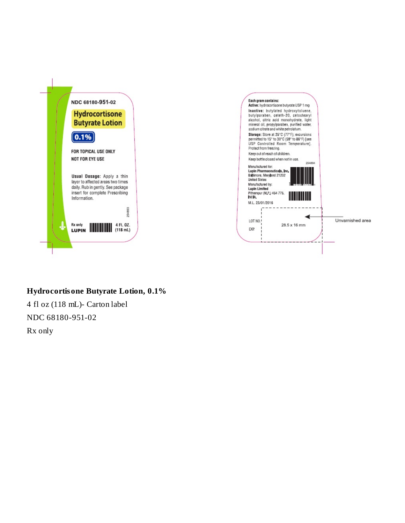

### Hydrocortisone Butyrate Lotion, 0.1%

4 fl oz (118 mL)- Carton label NDC 68180-951-02 Rx only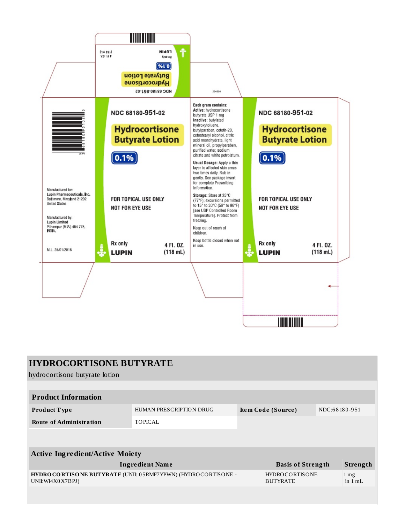

| <b>HYDROCORTISONE BUTYRATE</b>                                                      |                         |  |                                          |               |                                |
|-------------------------------------------------------------------------------------|-------------------------|--|------------------------------------------|---------------|--------------------------------|
| hydrocortisone butyrate lotion                                                      |                         |  |                                          |               |                                |
|                                                                                     |                         |  |                                          |               |                                |
| <b>Product Information</b>                                                          |                         |  |                                          |               |                                |
| Product Type                                                                        | HUMAN PRESCRIPTION DRUG |  | Item Code (Source)                       | NDC:68180-951 |                                |
| <b>Route of Administration</b>                                                      | <b>TOPICAL</b>          |  |                                          |               |                                |
|                                                                                     |                         |  |                                          |               |                                |
|                                                                                     |                         |  |                                          |               |                                |
| <b>Active Ingredient/Active Moiety</b>                                              |                         |  |                                          |               |                                |
| <b>Ingredient Name</b>                                                              |                         |  | <b>Basis of Strength</b>                 |               | Strength                       |
| HYDRO CORTISONE BUTYRATE (UNII: 05RMF7YPWN) (HYDROCORTISONE -<br>UNII: WI4X0 X7BPJ) |                         |  | <b>HYDROCORTISONE</b><br><b>BUTYRATE</b> |               | $1 \,\mathrm{mg}$<br>in $1 mL$ |
|                                                                                     |                         |  |                                          |               |                                |
|                                                                                     |                         |  |                                          |               |                                |